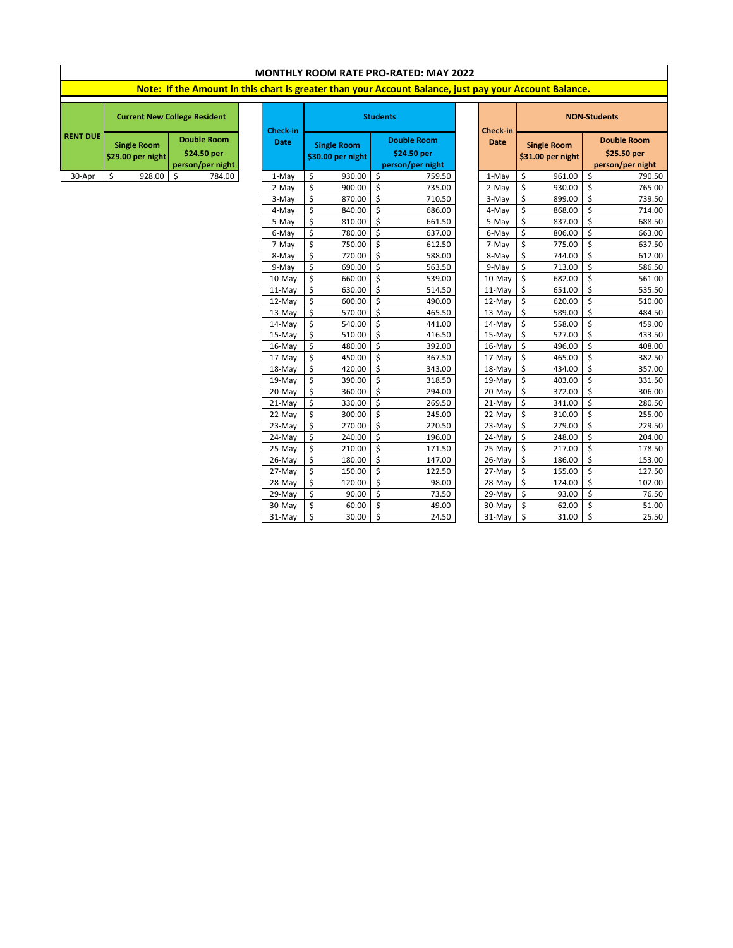| <b>MONTHLY ROOM RATE PRO-RATED: MAY 2022</b> |                                                                                                        |             |             |                                         |                 |                                                       |             |                                         |        |                                                       |        |  |  |
|----------------------------------------------|--------------------------------------------------------------------------------------------------------|-------------|-------------|-----------------------------------------|-----------------|-------------------------------------------------------|-------------|-----------------------------------------|--------|-------------------------------------------------------|--------|--|--|
|                                              | Note: If the Amount in this chart is greater than your Account Balance, just pay your Account Balance. |             |             |                                         |                 |                                                       |             |                                         |        |                                                       |        |  |  |
|                                              | <b>Current New College Resident</b>                                                                    | Check-in    |             |                                         | <b>Students</b> | Check-in                                              |             | <b>NON-Students</b>                     |        |                                                       |        |  |  |
| <b>RENT DUE</b>                              | <b>Double Room</b><br><b>Single Room</b><br>\$24.50 per<br>\$29.00 per night<br>person/per night       |             | <b>Date</b> | <b>Single Room</b><br>\$30.00 per night |                 | <b>Double Room</b><br>\$24.50 per<br>person/per night | <b>Date</b> | <b>Single Room</b><br>\$31.00 per night |        | <b>Double Room</b><br>\$25.50 per<br>person/per night |        |  |  |
| 30-Apr                                       | \$<br>928.00                                                                                           | Ś<br>784.00 | 1-May       | \$                                      | 930.00          | $\mathsf{\hat{S}}$<br>759.50                          | 1-May       | Ś                                       | 961.00 | \$                                                    | 790.50 |  |  |
|                                              |                                                                                                        |             | 2-May       | \$                                      | 900.00          | $\boldsymbol{\zeta}$<br>735.00                        | 2-May       | Ś                                       | 930.00 | $\zeta$                                               | 765.00 |  |  |
|                                              |                                                                                                        |             | 3-May       | \$                                      | 870.00          | \$<br>710.50                                          | 3-May       | \$                                      | 899.00 | \$                                                    | 739.50 |  |  |
|                                              |                                                                                                        |             | 4-May       | \$                                      | 840.00          | \$<br>686.00                                          | 4-May       | \$                                      | 868.00 | \$                                                    | 714.00 |  |  |
|                                              |                                                                                                        |             | 5-May       | \$                                      | 810.00          | \$<br>661.50                                          | 5-May       | \$                                      | 837.00 | \$                                                    | 688.50 |  |  |
|                                              |                                                                                                        |             | 6-May       | \$                                      | 780.00          | \$<br>637.00                                          | 6-May       | \$                                      | 806.00 | \$                                                    | 663.00 |  |  |
|                                              |                                                                                                        |             | 7-May       | \$                                      | 750.00          | \$<br>612.50                                          | 7-May       | \$                                      | 775.00 | $\zeta$                                               | 637.50 |  |  |
|                                              |                                                                                                        |             | 8-May       | \$                                      | 720.00          | $\boldsymbol{\mathsf{S}}$<br>588.00                   | 8-May       | \$                                      | 744.00 | \$                                                    | 612.00 |  |  |
|                                              |                                                                                                        |             | 9-May       | Ś                                       | 690.00          | \$<br>563.50                                          | 9-May       | \$                                      | 713.00 | \$                                                    | 586.50 |  |  |
|                                              |                                                                                                        |             | 10-May      | \$                                      | 660.00          | \$<br>539.00                                          | 10-May      | \$                                      | 682.00 | \$                                                    | 561.00 |  |  |
|                                              |                                                                                                        |             | 11-May      | \$                                      | 630.00          | \$<br>514.50                                          | 11-May      | \$                                      | 651.00 | \$                                                    | 535.50 |  |  |
|                                              |                                                                                                        |             | 12-May      | \$                                      | 600.00          | \$<br>490.00                                          | 12-May      | Ś                                       | 620.00 | $\zeta$                                               | 510.00 |  |  |
|                                              |                                                                                                        |             | 13-May      | \$                                      | 570.00          | \$<br>465.50                                          | 13-May      | \$                                      | 589.00 | \$                                                    | 484.50 |  |  |
|                                              |                                                                                                        |             | 14-May      | \$                                      | 540.00          | $\mathsf{\hat{S}}$<br>441.00                          | 14-May      | Ś                                       | 558.00 | \$                                                    | 459.00 |  |  |
|                                              |                                                                                                        |             | 15-May      | Ś                                       | 510.00          | Ś<br>416.50                                           | 15-May      | Ś                                       | 527.00 | Ś                                                     | 433.50 |  |  |
|                                              |                                                                                                        |             | 16-May      | \$                                      | 480.00          | \$<br>392.00                                          | 16-May      | \$                                      | 496.00 | \$                                                    | 408.00 |  |  |
|                                              |                                                                                                        |             | 17-May      | \$                                      | 450.00          | \$<br>367.50                                          | 17-May      | \$                                      | 465.00 | \$                                                    | 382.50 |  |  |
|                                              |                                                                                                        |             | 18-May      | \$                                      | 420.00          | \$<br>343.00                                          | 18-May      | \$                                      | 434.00 | \$                                                    | 357.00 |  |  |
|                                              |                                                                                                        |             | 19-May      | \$                                      | 390.00          | \$<br>318.50                                          | 19-May      | \$                                      | 403.00 | $\boldsymbol{\mathsf{S}}$                             | 331.50 |  |  |
|                                              |                                                                                                        |             | 20-May      | \$                                      | 360.00          | \$<br>294.00                                          | 20-May      | Ś                                       | 372.00 | $\boldsymbol{\mathsf{S}}$                             | 306.00 |  |  |
|                                              |                                                                                                        |             | 21-May      | \$                                      | 330.00          | $\mathsf{\dot{S}}$<br>269.50                          | 21-May      | \$                                      | 341.00 | \$                                                    | 280.50 |  |  |
|                                              |                                                                                                        |             | 22-May      | \$                                      | 300.00          | \$<br>245.00                                          | 22-May      | \$                                      | 310.00 | \$                                                    | 255.00 |  |  |
|                                              |                                                                                                        |             | 23-May      | \$                                      | 270.00          | Ś<br>220.50                                           | 23-May      | Ś                                       | 279.00 | \$                                                    | 229.50 |  |  |
|                                              |                                                                                                        |             | 24-May      | \$                                      | 240.00          | $\boldsymbol{\zeta}$<br>196.00                        | 24-May      | \$                                      | 248.00 | \$                                                    | 204.00 |  |  |
|                                              |                                                                                                        |             | 25-May      | \$                                      | 210.00          | \$<br>171.50                                          | 25-May      | Ś                                       | 217.00 | Ś                                                     | 178.50 |  |  |
|                                              |                                                                                                        |             | 26-May      | \$                                      | 180.00          | \$<br>147.00                                          | 26-May      | \$                                      | 186.00 | $\boldsymbol{\mathsf{S}}$                             | 153.00 |  |  |
|                                              |                                                                                                        |             | 27-May      | \$                                      | 150.00          | $\boldsymbol{\zeta}$<br>122.50                        | 27-May      | \$                                      | 155.00 | \$                                                    | 127.50 |  |  |
|                                              |                                                                                                        |             | 28-May      | \$                                      | 120.00          | \$<br>98.00                                           | 28-May      | \$                                      | 124.00 | \$                                                    | 102.00 |  |  |
|                                              |                                                                                                        |             | 29-May      | \$                                      | 90.00           | \$<br>73.50                                           | 29-May      | \$                                      | 93.00  | \$                                                    | 76.50  |  |  |
|                                              |                                                                                                        |             | 30-May      | \$                                      | 60.00           | \$<br>49.00                                           | 30-May      | Ś.                                      | 62.00  | \$                                                    | 51.00  |  |  |
|                                              |                                                                                                        |             | 31-May      | \$                                      | 30.00           | Ś<br>24.50                                            | 31-May      | \$                                      | 31.00  | $\mathsf{\hat{S}}$                                    | 25.50  |  |  |

 $\mathsf{I}$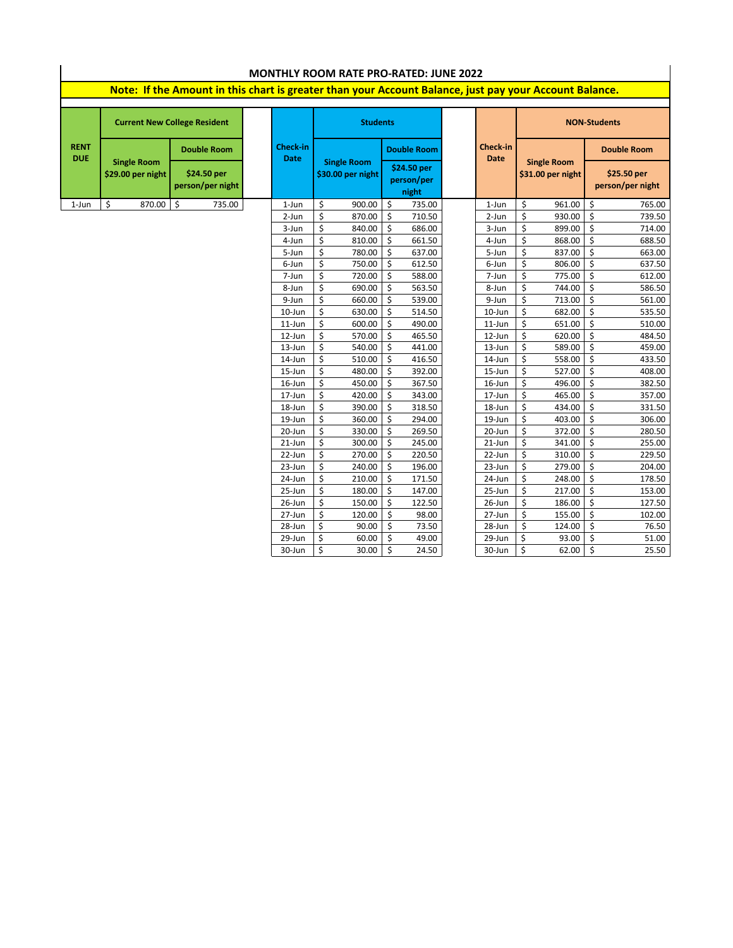| <b>MONTHLY ROOM RATE PRO-RATED: JUNE 2022</b>                                                          |                                         |                                     |                         |                                         |                                    |                         |                                         |                                 |  |  |  |  |
|--------------------------------------------------------------------------------------------------------|-----------------------------------------|-------------------------------------|-------------------------|-----------------------------------------|------------------------------------|-------------------------|-----------------------------------------|---------------------------------|--|--|--|--|
| Note: If the Amount in this chart is greater than your Account Balance, just pay your Account Balance. |                                         |                                     |                         |                                         |                                    |                         |                                         |                                 |  |  |  |  |
|                                                                                                        |                                         | <b>Current New College Resident</b> |                         | <b>Students</b>                         |                                    |                         | <b>NON-Students</b>                     |                                 |  |  |  |  |
| <b>RENT</b><br><b>DUE</b>                                                                              |                                         | <b>Double Room</b>                  | Check-in<br><b>Date</b> |                                         | <b>Double Room</b>                 | Check-in<br><b>Date</b> |                                         | <b>Double Room</b>              |  |  |  |  |
|                                                                                                        | <b>Single Room</b><br>\$29.00 per night | \$24.50 per<br>person/per night     |                         | <b>Single Room</b><br>\$30.00 per night | \$24.50 per<br>person/per<br>night |                         | <b>Single Room</b><br>\$31.00 per night | \$25.50 per<br>person/per night |  |  |  |  |
| $1$ -Jun                                                                                               | \$<br>870.00                            | $\ddot{\mathsf{S}}$<br>735.00       | 1-Jun                   | \$<br>900.00                            | \$<br>735.00                       | $1$ -Jun                | \$<br>961.00                            | \$<br>765.00                    |  |  |  |  |
|                                                                                                        |                                         |                                     | 2-Jun                   | \$<br>870.00                            | \$<br>710.50                       | 2-Jun                   | \$<br>930.00                            | \$<br>739.50                    |  |  |  |  |
|                                                                                                        |                                         |                                     | 3-Jun                   | \$<br>840.00                            | \$<br>686.00                       | 3-Jun                   | \$<br>899.00                            | \$<br>714.00                    |  |  |  |  |
|                                                                                                        |                                         |                                     | 4-Jun                   | \$<br>810.00                            | \$<br>661.50                       | 4-Jun                   | \$<br>868.00                            | \$<br>688.50                    |  |  |  |  |
|                                                                                                        |                                         |                                     | 5-Jun                   | \$<br>780.00                            | \$<br>637.00                       | 5-Jun                   | \$<br>837.00                            | \$<br>663.00                    |  |  |  |  |
|                                                                                                        |                                         |                                     | 6-Jun                   | \$<br>750.00                            | \$<br>612.50                       | 6-Jun                   | \$<br>806.00                            | \$<br>637.50                    |  |  |  |  |
|                                                                                                        |                                         |                                     | 7-Jun                   | \$<br>720.00                            | \$<br>588.00                       | 7-Jun                   | \$<br>775.00                            | \$<br>612.00                    |  |  |  |  |
|                                                                                                        |                                         |                                     | 8-Jun                   | \$<br>690.00                            | \$<br>563.50                       | 8-Jun                   | \$<br>744.00                            | \$<br>586.50                    |  |  |  |  |
|                                                                                                        |                                         |                                     | 9-Jun                   | \$<br>660.00                            | \$<br>539.00                       | 9-Jun                   | \$<br>713.00                            | \$<br>561.00                    |  |  |  |  |
|                                                                                                        |                                         |                                     | 10-Jun                  | \$<br>630.00                            | Ś.<br>514.50                       | 10-Jun                  | Ś<br>682.00                             | \$<br>535.50                    |  |  |  |  |
|                                                                                                        |                                         |                                     | $11$ -Jun               | \$<br>600.00                            | \$<br>490.00                       | $11$ -Jun               | \$<br>651.00                            | \$<br>510.00                    |  |  |  |  |
|                                                                                                        |                                         |                                     | 12-Jun                  | \$<br>570.00                            | \$<br>465.50                       | 12-Jun                  | \$<br>620.00                            | \$<br>484.50                    |  |  |  |  |
|                                                                                                        |                                         |                                     | 13-Jun                  | \$<br>540.00                            | \$<br>441.00                       | 13-Jun                  | \$<br>589.00                            | \$<br>459.00                    |  |  |  |  |
|                                                                                                        |                                         |                                     | 14-Jun                  | \$<br>510.00                            | \$<br>416.50                       | 14-Jun                  | \$<br>558.00                            | \$<br>433.50                    |  |  |  |  |
|                                                                                                        |                                         |                                     | 15-Jun                  | \$<br>480.00                            | \$<br>392.00                       | 15-Jun                  | \$<br>527.00                            | \$<br>408.00                    |  |  |  |  |
|                                                                                                        |                                         |                                     | 16-Jun                  | \$<br>450.00                            | \$<br>367.50                       | 16-Jun                  | \$<br>496.00                            | \$<br>382.50                    |  |  |  |  |
|                                                                                                        |                                         |                                     | 17-Jun                  | \$<br>420.00                            | \$<br>343.00                       | 17-Jun                  | \$<br>465.00                            | \$<br>357.00                    |  |  |  |  |
|                                                                                                        |                                         |                                     | 18-Jun                  | \$<br>390.00                            | \$<br>318.50                       | 18-Jun                  | \$<br>434.00                            | \$<br>331.50                    |  |  |  |  |
|                                                                                                        |                                         |                                     | 19-Jun<br>20-Jun        | \$<br>360.00<br>\$<br>330.00            | \$<br>294.00<br>\$<br>269.50       | 19-Jun<br>20-Jun        | \$<br>403.00<br>\$<br>372.00            | \$<br>306.00<br>\$<br>280.50    |  |  |  |  |
|                                                                                                        |                                         |                                     | 21-Jun                  | \$<br>300.00                            | \$<br>245.00                       | 21-Jun                  | \$<br>341.00                            | \$<br>255.00                    |  |  |  |  |
|                                                                                                        |                                         |                                     | 22-Jun                  | \$<br>270.00                            | Ś<br>220.50                        | 22-Jun                  | Ś<br>310.00                             | \$<br>229.50                    |  |  |  |  |
|                                                                                                        |                                         |                                     | 23-Jun                  | \$<br>240.00                            | \$<br>196.00                       | 23-Jun                  | \$<br>279.00                            | \$<br>204.00                    |  |  |  |  |
|                                                                                                        |                                         |                                     | 24-Jun                  | \$<br>210.00                            | \$<br>171.50                       | 24-Jun                  | Ś<br>248.00                             | \$<br>178.50                    |  |  |  |  |
|                                                                                                        |                                         |                                     | 25-Jun                  | \$<br>180.00                            | \$<br>147.00                       | 25-Jun                  | \$<br>217.00                            | \$<br>153.00                    |  |  |  |  |
|                                                                                                        |                                         |                                     | 26-Jun                  | \$<br>150.00                            | \$<br>122.50                       | 26-Jun                  | \$<br>186.00                            | \$<br>127.50                    |  |  |  |  |
|                                                                                                        |                                         |                                     | 27-Jun                  | \$<br>120.00                            | \$<br>98.00                        | 27-Jun                  | \$<br>155.00                            | \$<br>102.00                    |  |  |  |  |
|                                                                                                        |                                         |                                     | 28-Jun                  | \$<br>90.00                             | \$<br>73.50                        | 28-Jun                  | \$<br>124.00                            | \$<br>76.50                     |  |  |  |  |
|                                                                                                        |                                         |                                     | 29-Jun                  | \$<br>60.00                             | \$<br>49.00                        | 29-Jun                  | \$<br>93.00                             | \$<br>51.00                     |  |  |  |  |
|                                                                                                        |                                         |                                     | 30-Jun                  | \$<br>30.00                             | Ś.<br>24.50                        | 30-Jun                  | \$<br>62.00                             | \$<br>25.50                     |  |  |  |  |
|                                                                                                        |                                         |                                     |                         |                                         |                                    |                         |                                         |                                 |  |  |  |  |